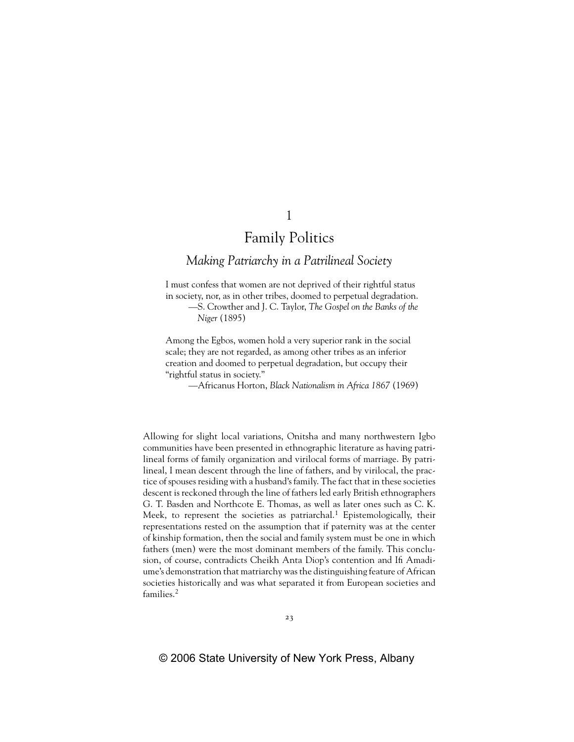# *Making Patriarchy in a Patrilineal Society*

I must confess that women are not deprived of their rightful status in society, nor, as in other tribes, doomed to perpetual degradation. —S. Crowther and J. C. Taylor, *The Gospel on the Banks of the Niger* (1895)

Among the Egbos, women hold a very superior rank in the social scale; they are not regarded, as among other tribes as an inferior creation and doomed to perpetual degradation, but occupy their "rightful status in society."

—Africanus Horton, *Black Nationalism in Africa 1867* (1969)

Allowing for slight local variations, Onitsha and many northwestern Igbo communities have been presented in ethnographic literature as having patrilineal forms of family organization and virilocal forms of marriage. By patrilineal, I mean descent through the line of fathers, and by virilocal, the practice of spouses residing with a husband's family. The fact that in these societies descent is reckoned through the line of fathers led early British ethnographers G. T. Basden and Northcote E. Thomas, as well as later ones such as C. K. Meek, to represent the societies as patriarchal.<sup>1</sup> Epistemologically, their representations rested on the assumption that if paternity was at the center of kinship formation, then the social and family system must be one in which fathers (men) were the most dominant members of the family. This conclusion, of course, contradicts Cheikh Anta Diop's contention and Ifi Amadiume's demonstration that matriarchy was the distinguishing feature of African societies historically and was what separated it from European societies and families.<sup>2</sup>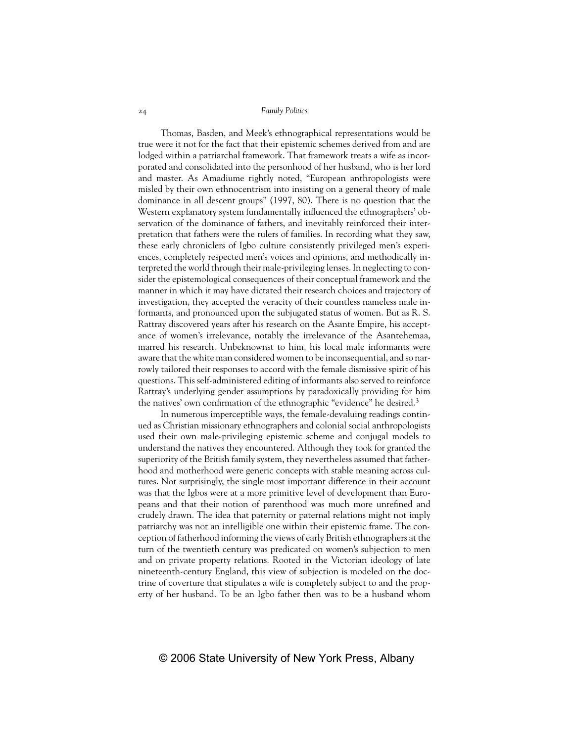Thomas, Basden, and Meek's ethnographical representations would be true were it not for the fact that their epistemic schemes derived from and are lodged within a patriarchal framework. That framework treats a wife as incorporated and consolidated into the personhood of her husband, who is her lord and master. As Amadiume rightly noted, "European anthropologists were misled by their own ethnocentrism into insisting on a general theory of male dominance in all descent groups" (1997, 80). There is no question that the Western explanatory system fundamentally influenced the ethnographers' observation of the dominance of fathers, and inevitably reinforced their interpretation that fathers were the rulers of families. In recording what they saw, these early chroniclers of Igbo culture consistently privileged men's experiences, completely respected men's voices and opinions, and methodically interpreted the world through their male-privileging lenses. In neglecting to consider the epistemological consequences of their conceptual framework and the manner in which it may have dictated their research choices and trajectory of investigation, they accepted the veracity of their countless nameless male informants, and pronounced upon the subjugated status of women. But as R. S. Rattray discovered years after his research on the Asante Empire, his acceptance of women's irrelevance, notably the irrelevance of the Asantehemaa, marred his research. Unbeknownst to him, his local male informants were aware that the white man considered women to be inconsequential, and so narrowly tailored their responses to accord with the female dismissive spirit of his questions. This self-administered editing of informants also served to reinforce Rattray's underlying gender assumptions by paradoxically providing for him the natives' own confirmation of the ethnographic "evidence" he desired.3

In numerous imperceptible ways, the female-devaluing readings continued as Christian missionary ethnographers and colonial social anthropologists used their own male-privileging epistemic scheme and conjugal models to understand the natives they encountered. Although they took for granted the superiority of the British family system, they nevertheless assumed that fatherhood and motherhood were generic concepts with stable meaning across cultures. Not surprisingly, the single most important difference in their account was that the Igbos were at a more primitive level of development than Europeans and that their notion of parenthood was much more unrefined and crudely drawn. The idea that paternity or paternal relations might not imply patriarchy was not an intelligible one within their epistemic frame. The conception of fatherhood informing the views of early British ethnographers at the turn of the twentieth century was predicated on women's subjection to men and on private property relations. Rooted in the Victorian ideology of late nineteenth-century England, this view of subjection is modeled on the doctrine of coverture that stipulates a wife is completely subject to and the property of her husband. To be an Igbo father then was to be a husband whom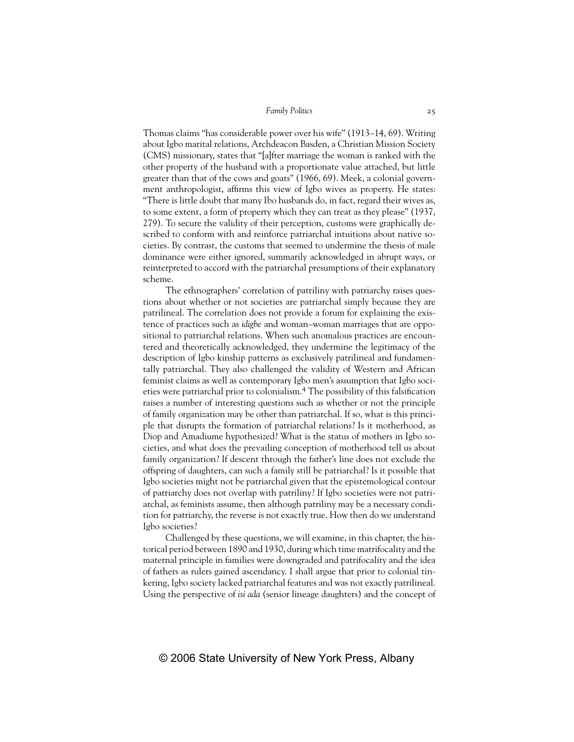Thomas claims "has considerable power over his wife" (1913–14, 69). Writing about Igbo marital relations, Archdeacon Basden, a Christian Mission Society (CMS) missionary, states that "[a]fter marriage the woman is ranked with the other property of the husband with a proportionate value attached, but little greater than that of the cows and goats" (1966, 69). Meek, a colonial government anthropologist, affirms this view of Igbo wives as property. He states: "There is little doubt that many Ibo husbands do, in fact, regard their wives as, to some extent, a form of property which they can treat as they please" (1937, 279). To secure the validity of their perception, customs were graphically described to conform with and reinforce patriarchal intuitions about native societies. By contrast, the customs that seemed to undermine the thesis of male dominance were either ignored, summarily acknowledged in abrupt ways, or reinterpreted to accord with the patriarchal presumptions of their explanatory scheme.

The ethnographers' correlation of patriliny with patriarchy raises questions about whether or not societies are patriarchal simply because they are patrilineal. The correlation does not provide a forum for explaining the existence of practices such as *idigbe* and woman–woman marriages that are oppositional to patriarchal relations. When such anomalous practices are encountered and theoretically acknowledged, they undermine the legitimacy of the description of Igbo kinship patterns as exclusively patrilineal and fundamentally patriarchal. They also challenged the validity of Western and African feminist claims as well as contemporary Igbo men's assumption that Igbo societies were patriarchal prior to colonialism.4 The possibility of this falsification raises a number of interesting questions such as whether or not the principle of family organization may be other than patriarchal. If so, what is this principle that disrupts the formation of patriarchal relations? Is it motherhood, as Diop and Amadiume hypothesized? What is the status of mothers in Igbo societies, and what does the prevailing conception of motherhood tell us about family organization? If descent through the father's line does not exclude the offspring of daughters, can such a family still be patriarchal? Is it possible that Igbo societies might not be patriarchal given that the epistemological contour of patriarchy does not overlap with patriliny? If Igbo societies were not patriarchal, as feminists assume, then although patriliny may be a necessary condition for patriarchy, the reverse is not exactly true. How then do we understand Igbo societies?

Challenged by these questions, we will examine, in this chapter, the historical period between 1890 and 1930, during which time matrifocality and the maternal principle in families were downgraded and patrifocality and the idea of fathers as rulers gained ascendancy. I shall argue that prior to colonial tinkering, Igbo society lacked patriarchal features and was not exactly patrilineal. Using the perspective of *isi ada* (senior lineage daughters) and the concept of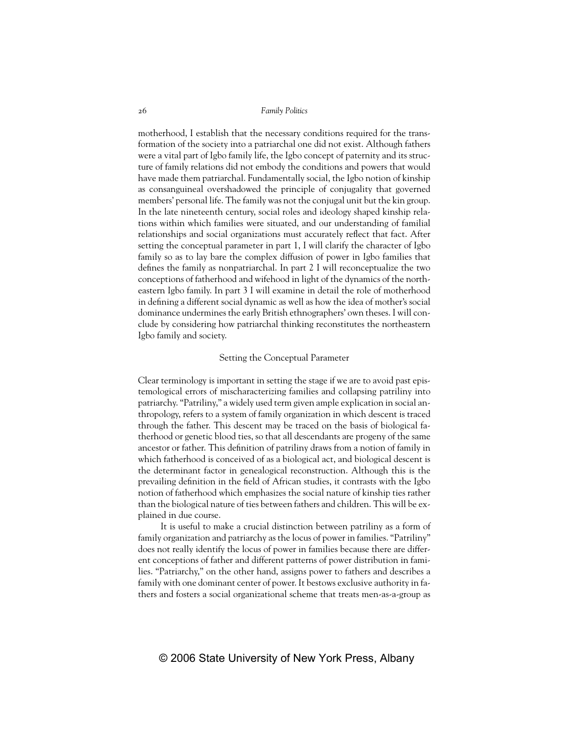motherhood, I establish that the necessary conditions required for the transformation of the society into a patriarchal one did not exist. Although fathers were a vital part of Igbo family life, the Igbo concept of paternity and its structure of family relations did not embody the conditions and powers that would have made them patriarchal. Fundamentally social, the Igbo notion of kinship as consanguineal overshadowed the principle of conjugality that governed members' personal life. The family was not the conjugal unit but the kin group. In the late nineteenth century, social roles and ideology shaped kinship relations within which families were situated, and our understanding of familial relationships and social organizations must accurately reflect that fact. After setting the conceptual parameter in part 1, I will clarify the character of Igbo family so as to lay bare the complex diffusion of power in Igbo families that defines the family as nonpatriarchal. In part 2 I will reconceptualize the two conceptions of fatherhood and wifehood in light of the dynamics of the northeastern Igbo family. In part 3 I will examine in detail the role of motherhood in defining a different social dynamic as well as how the idea of mother's social dominance undermines the early British ethnographers' own theses. I will conclude by considering how patriarchal thinking reconstitutes the northeastern Igbo family and society.

## Setting the Conceptual Parameter

Clear terminology is important in setting the stage if we are to avoid past epistemological errors of mischaracterizing families and collapsing patriliny into patriarchy. "Patriliny," a widely used term given ample explication in social anthropology, refers to a system of family organization in which descent is traced through the father. This descent may be traced on the basis of biological fatherhood or genetic blood ties, so that all descendants are progeny of the same ancestor or father. This definition of patriliny draws from a notion of family in which fatherhood is conceived of as a biological act, and biological descent is the determinant factor in genealogical reconstruction. Although this is the prevailing definition in the field of African studies, it contrasts with the Igbo notion of fatherhood which emphasizes the social nature of kinship ties rather than the biological nature of ties between fathers and children. This will be explained in due course.

It is useful to make a crucial distinction between patriliny as a form of family organization and patriarchy as the locus of power in families. "Patriliny" does not really identify the locus of power in families because there are different conceptions of father and different patterns of power distribution in families. "Patriarchy," on the other hand, assigns power to fathers and describes a family with one dominant center of power. It bestows exclusive authority in fathers and fosters a social organizational scheme that treats men-as-a-group as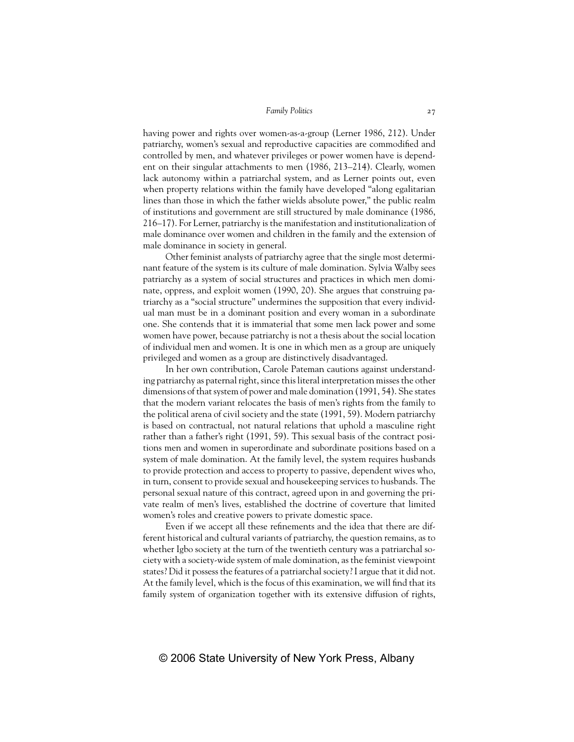having power and rights over women-as-a-group (Lerner 1986, 212). Under patriarchy, women's sexual and reproductive capacities are commodified and controlled by men, and whatever privileges or power women have is dependent on their singular attachments to men (1986, 213–214). Clearly, women lack autonomy within a patriarchal system, and as Lerner points out, even when property relations within the family have developed "along egalitarian lines than those in which the father wields absolute power," the public realm of institutions and government are still structured by male dominance (1986, 216–17). For Lerner, patriarchy is the manifestation and institutionalization of male dominance over women and children in the family and the extension of male dominance in society in general.

Other feminist analysts of patriarchy agree that the single most determinant feature of the system is its culture of male domination. Sylvia Walby sees patriarchy as a system of social structures and practices in which men dominate, oppress, and exploit women (1990, 20). She argues that construing patriarchy as a "social structure" undermines the supposition that every individual man must be in a dominant position and every woman in a subordinate one. She contends that it is immaterial that some men lack power and some women have power, because patriarchy is not a thesis about the social location of individual men and women. It is one in which men as a group are uniquely privileged and women as a group are distinctively disadvantaged.

In her own contribution, Carole Pateman cautions against understanding patriarchy as paternal right, since this literal interpretation misses the other dimensions of that system of power and male domination (1991, 54). She states that the modern variant relocates the basis of men's rights from the family to the political arena of civil society and the state (1991, 59). Modern patriarchy is based on contractual, not natural relations that uphold a masculine right rather than a father's right (1991, 59). This sexual basis of the contract positions men and women in superordinate and subordinate positions based on a system of male domination. At the family level, the system requires husbands to provide protection and access to property to passive, dependent wives who, in turn, consent to provide sexual and housekeeping services to husbands. The personal sexual nature of this contract, agreed upon in and governing the private realm of men's lives, established the doctrine of coverture that limited women's roles and creative powers to private domestic space.

Even if we accept all these refinements and the idea that there are different historical and cultural variants of patriarchy, the question remains, as to whether Igbo society at the turn of the twentieth century was a patriarchal society with a society-wide system of male domination, as the feminist viewpoint states? Did it possess the features of a patriarchal society? I argue that it did not. At the family level, which is the focus of this examination, we will find that its family system of organization together with its extensive diffusion of rights,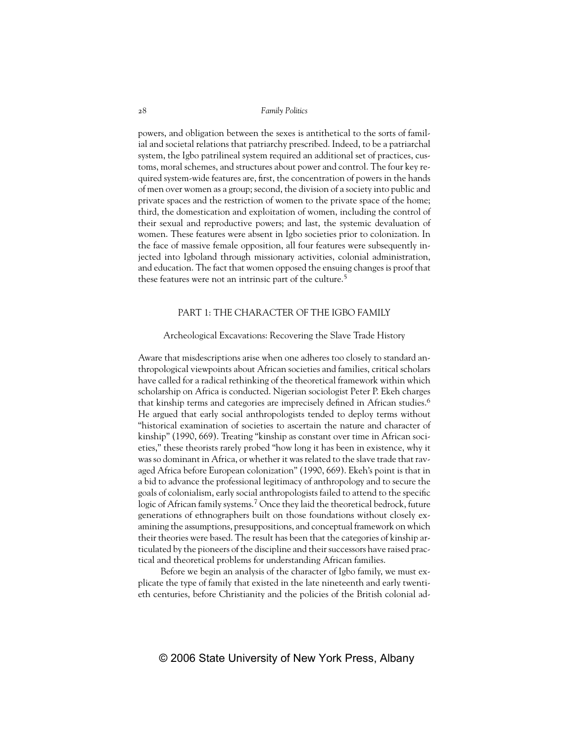powers, and obligation between the sexes is antithetical to the sorts of familial and societal relations that patriarchy prescribed. Indeed, to be a patriarchal system, the Igbo patrilineal system required an additional set of practices, customs, moral schemes, and structures about power and control. The four key required system-wide features are, first, the concentration of powers in the hands of men over women as a group; second, the division of a society into public and private spaces and the restriction of women to the private space of the home; third, the domestication and exploitation of women, including the control of their sexual and reproductive powers; and last, the systemic devaluation of women. These features were absent in Igbo societies prior to colonization. In the face of massive female opposition, all four features were subsequently injected into Igboland through missionary activities, colonial administration, and education. The fact that women opposed the ensuing changes is proof that these features were not an intrinsic part of the culture.<sup>5</sup>

# PART 1: THE CHARACTER OF THE IGBO FAMILY

# Archeological Excavations: Recovering the Slave Trade History

Aware that misdescriptions arise when one adheres too closely to standard anthropological viewpoints about African societies and families, critical scholars have called for a radical rethinking of the theoretical framework within which scholarship on Africa is conducted. Nigerian sociologist Peter P. Ekeh charges that kinship terms and categories are imprecisely defined in African studies.<sup>6</sup> He argued that early social anthropologists tended to deploy terms without "historical examination of societies to ascertain the nature and character of kinship" (1990, 669). Treating "kinship as constant over time in African societies," these theorists rarely probed "how long it has been in existence, why it was so dominant in Africa, or whether it was related to the slave trade that ravaged Africa before European colonization" (1990, 669). Ekeh's point is that in a bid to advance the professional legitimacy of anthropology and to secure the goals of colonialism, early social anthropologists failed to attend to the specific logic of African family systems.<sup>7</sup> Once they laid the theoretical bedrock, future generations of ethnographers built on those foundations without closely examining the assumptions, presuppositions, and conceptual framework on which their theories were based. The result has been that the categories of kinship articulated by the pioneers of the discipline and their successors have raised practical and theoretical problems for understanding African families.

Before we begin an analysis of the character of Igbo family, we must explicate the type of family that existed in the late nineteenth and early twentieth centuries, before Christianity and the policies of the British colonial ad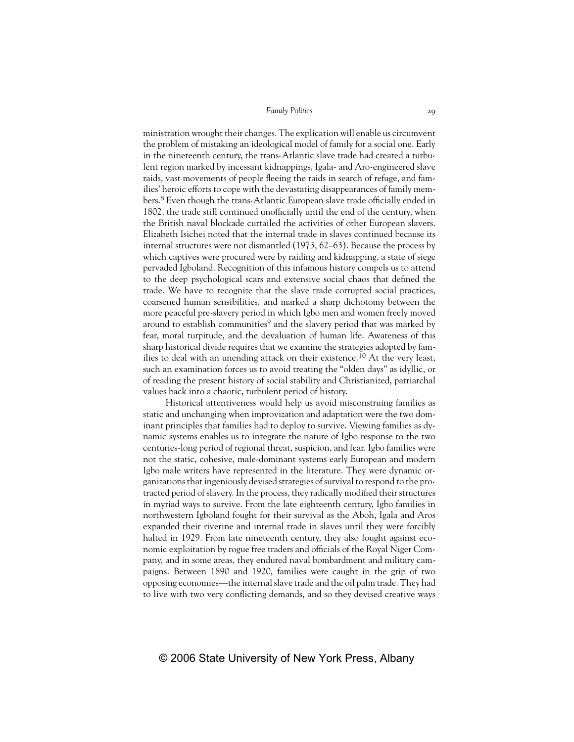ministration wrought their changes. The explication will enable us circumvent the problem of mistaking an ideological model of family for a social one. Early in the nineteenth century, the trans-Atlantic slave trade had created a turbulent region marked by incessant kidnappings, Igala- and Aro-engineered slave raids, vast movements of people fleeing the raids in search of refuge, and families' heroic efforts to cope with the devastating disappearances of family members.<sup>8</sup> Even though the trans-Atlantic European slave trade officially ended in 1802, the trade still continued unofficially until the end of the century, when the British naval blockade curtailed the activities of other European slavers. Elizabeth Isichei noted that the internal trade in slaves continued because its internal structures were not dismantled (1973, 62–63). Because the process by which captives were procured were by raiding and kidnapping, a state of siege pervaded Igboland. Recognition of this infamous history compels us to attend to the deep psychological scars and extensive social chaos that defined the trade. We have to recognize that the slave trade corrupted social practices, coarsened human sensibilities, and marked a sharp dichotomy between the more peaceful pre-slavery period in which Igbo men and women freely moved around to establish communities<sup>9</sup> and the slavery period that was marked by fear, moral turpitude, and the devaluation of human life. Awareness of this sharp historical divide requires that we examine the strategies adopted by families to deal with an unending attack on their existence.10 At the very least, such an examination forces us to avoid treating the "olden days" as idyllic, or of reading the present history of social stability and Christianized, patriarchal values back into a chaotic, turbulent period of history.

Historical attentiveness would help us avoid misconstruing families as static and unchanging when improvization and adaptation were the two dominant principles that families had to deploy to survive. Viewing families as dynamic systems enables us to integrate the nature of Igbo response to the two centuries-long period of regional threat, suspicion, and fear. Igbo families were not the static, cohesive, male-dominant systems early European and modern Igbo male writers have represented in the literature. They were dynamic organizations that ingeniously devised strategies of survival to respond to the protracted period of slavery. In the process, they radically modified their structures in myriad ways to survive. From the late eighteenth century, Igbo families in northwestern Igboland fought for their survival as the Aboh, Igala and Aros expanded their riverine and internal trade in slaves until they were forcibly halted in 1929. From late nineteenth century, they also fought against economic exploitation by rogue free traders and officials of the Royal Niger Company, and in some areas, they endured naval bombardment and military campaigns. Between 1890 and 1920, families were caught in the grip of two opposing economies—the internal slave trade and the oil palm trade. They had to live with two very conflicting demands, and so they devised creative ways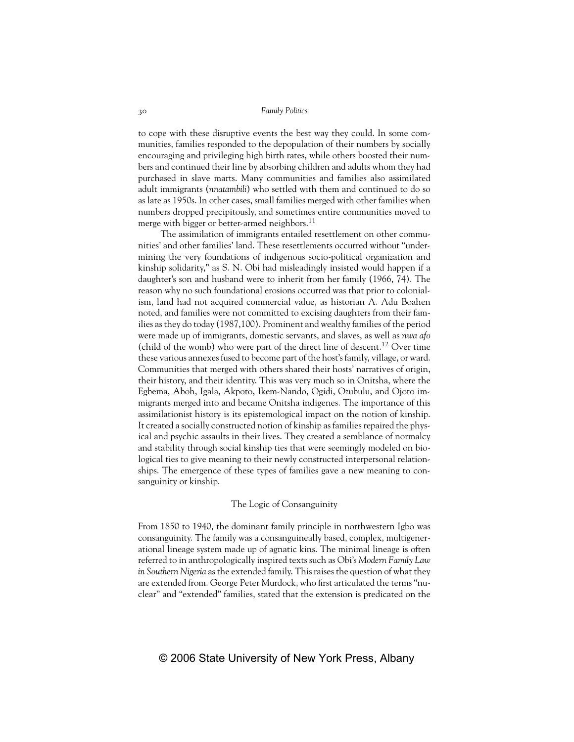to cope with these disruptive events the best way they could. In some communities, families responded to the depopulation of their numbers by socially encouraging and privileging high birth rates, while others boosted their numbers and continued their line by absorbing children and adults whom they had purchased in slave marts. Many communities and families also assimilated adult immigrants (*nnatambili*) who settled with them and continued to do so as late as 1950s. In other cases, small families merged with other families when numbers dropped precipitously, and sometimes entire communities moved to merge with bigger or better-armed neighbors.<sup>11</sup>

The assimilation of immigrants entailed resettlement on other communities' and other families' land. These resettlements occurred without "undermining the very foundations of indigenous socio-political organization and kinship solidarity," as S. N. Obi had misleadingly insisted would happen if a daughter's son and husband were to inherit from her family (1966, 74). The reason why no such foundational erosions occurred was that prior to colonialism, land had not acquired commercial value, as historian A. Adu Boahen noted, and families were not committed to excising daughters from their families as they do today (1987,100). Prominent and wealthy families of the period were made up of immigrants, domestic servants, and slaves, as well as *nwa afo* (child of the womb) who were part of the direct line of descent.<sup>12</sup> Over time these various annexes fused to become part of the host's family, village, or ward. Communities that merged with others shared their hosts' narratives of origin, their history, and their identity. This was very much so in Onitsha, where the Egbema, Aboh, Igala, Akpoto, Ikem-Nando, Ogidi, Ozubulu, and Ojoto immigrants merged into and became Onitsha indigenes. The importance of this assimilationist history is its epistemological impact on the notion of kinship. It created a socially constructed notion of kinship as families repaired the physical and psychic assaults in their lives. They created a semblance of normalcy and stability through social kinship ties that were seemingly modeled on biological ties to give meaning to their newly constructed interpersonal relationships. The emergence of these types of families gave a new meaning to consanguinity or kinship.

## The Logic of Consanguinity

From 1850 to 1940, the dominant family principle in northwestern Igbo was consanguinity. The family was a consanguineally based, complex, multigenerational lineage system made up of agnatic kins. The minimal lineage is often referred to in anthropologically inspired texts such as Obi's *Modern Family Law in Southern Nigeria* as the extended family. This raises the question of what they are extended from. George Peter Murdock, who first articulated the terms "nuclear" and "extended" families, stated that the extension is predicated on the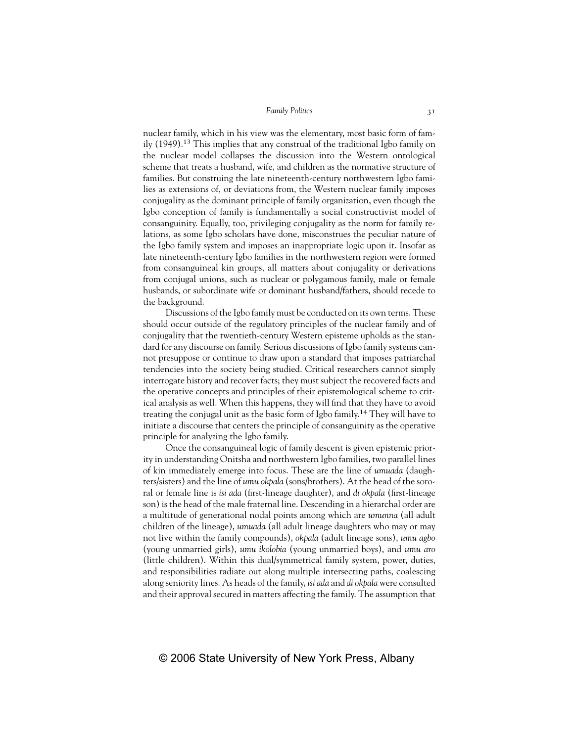nuclear family, which in his view was the elementary, most basic form of family (1949).<sup>13</sup> This implies that any construal of the traditional Igbo family on the nuclear model collapses the discussion into the Western ontological scheme that treats a husband, wife, and children as the normative structure of families. But construing the late nineteenth-century northwestern Igbo families as extensions of, or deviations from, the Western nuclear family imposes conjugality as the dominant principle of family organization, even though the Igbo conception of family is fundamentally a social constructivist model of consanguinity. Equally, too, privileging conjugality as the norm for family relations, as some Igbo scholars have done, misconstrues the peculiar nature of the Igbo family system and imposes an inappropriate logic upon it. Insofar as late nineteenth-century Igbo families in the northwestern region were formed from consanguineal kin groups, all matters about conjugality or derivations from conjugal unions, such as nuclear or polygamous family, male or female husbands, or subordinate wife or dominant husband/fathers, should recede to the background.

Discussions of the Igbo family must be conducted on its own terms. These should occur outside of the regulatory principles of the nuclear family and of conjugality that the twentieth-century Western episteme upholds as the standard for any discourse on family. Serious discussions of Igbo family systems cannot presuppose or continue to draw upon a standard that imposes patriarchal tendencies into the society being studied. Critical researchers cannot simply interrogate history and recover facts; they must subject the recovered facts and the operative concepts and principles of their epistemological scheme to critical analysis as well. When this happens, they will find that they have to avoid treating the conjugal unit as the basic form of Igbo family.14 They will have to initiate a discourse that centers the principle of consanguinity as the operative principle for analyzing the Igbo family.

Once the consanguineal logic of family descent is given epistemic priority in understanding Onitsha and northwestern Igbo families, two parallel lines of kin immediately emerge into focus. These are the line of *umuada* (daughters/sisters) and the line of *umu okpala* (sons/brothers). At the head of the sororal or female line is *isi ada* (first-lineage daughter), and *di okpala* (first-lineage son) is the head of the male fraternal line. Descending in a hierarchal order are a multitude of generational nodal points among which are *umunna* (all adult children of the lineage), *umuada* (all adult lineage daughters who may or may not live within the family compounds), *okpala* (adult lineage sons), *umu agbo* (young unmarried girls), *umu ikolobia* (young unmarried boys), and *umu aro* (little children). Within this dual/symmetrical family system, power, duties, and responsibilities radiate out along multiple intersecting paths, coalescing along seniority lines. As heads of the family, *isi ada* and *di okpala* were consulted and their approval secured in matters affecting the family. The assumption that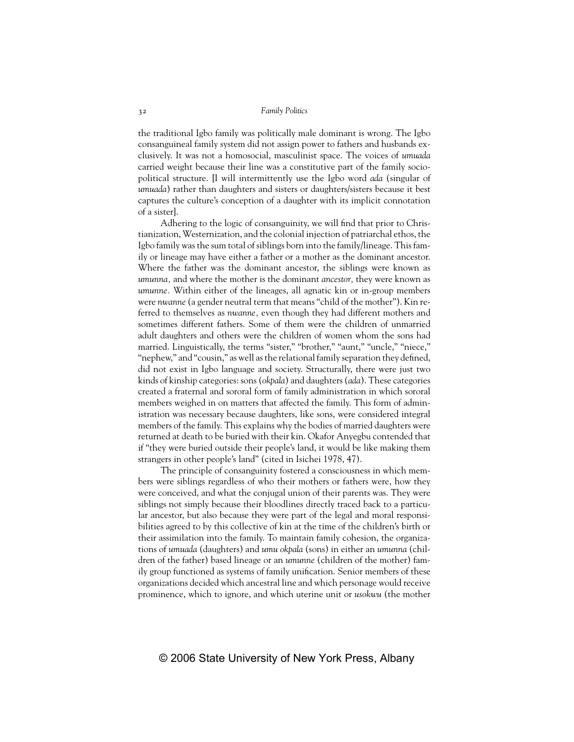the traditional Igbo family was politically male dominant is wrong. The Igbo consanguineal family system did not assign power to fathers and husbands exclusively. It was not a homosocial, masculinist space. The voices of *umuada* carried weight because their line was a constitutive part of the family sociopolitical structure. [I will intermittently use the Igbo word *ada* (singular of *umuada*) rather than daughters and sisters or daughters/sisters because it best captures the culture's conception of a daughter with its implicit connotation of a sister].

Adhering to the logic of consanguinity, we will find that prior to Christianization, Westernization, and the colonial injection of patriarchal ethos, the Igbo family was the sum total of siblings born into the family/lineage. This family or lineage may have either a father or a mother as the dominant ancestor. Where the father was the dominant ancestor, the siblings were known as *umunna,* and where the mother is the dominant *ancestor,* they were known as *umunne.* Within either of the lineages, all agnatic kin or in-group members were *nwanne* (a gender neutral term that means "child of the mother"). Kin referred to themselves as *nwanne,* even though they had different mothers and sometimes different fathers. Some of them were the children of unmarried adult daughters and others were the children of women whom the sons had married. Linguistically, the terms "sister," "brother," "aunt," "uncle," "niece," "nephew," and "cousin," as well as the relational family separation they defined, did not exist in Igbo language and society. Structurally, there were just two kinds of kinship categories: sons (*okpala*) and daughters (*ada*). These categories created a fraternal and sororal form of family administration in which sororal members weighed in on matters that affected the family. This form of administration was necessary because daughters, like sons, were considered integral members of the family. This explains why the bodies of married daughters were returned at death to be buried with their kin. Okafor Anyegbu contended that if "they were buried outside their people's land, it would be like making them strangers in other people's land" (cited in Isichei 1978, 47).

The principle of consanguinity fostered a consciousness in which members were siblings regardless of who their mothers or fathers were, how they were conceived, and what the conjugal union of their parents was. They were siblings not simply because their bloodlines directly traced back to a particular ancestor, but also because they were part of the legal and moral responsibilities agreed to by this collective of kin at the time of the children's birth or their assimilation into the family. To maintain family cohesion, the organizations of *umuada* (daughters) and *umu okpala* (sons) in either an *umunna* (children of the father) based lineage or an *umunne* (children of the mother) family group functioned as systems of family unification. Senior members of these organizations decided which ancestral line and which personage would receive prominence, which to ignore, and which uterine unit or *usokwu* (the mother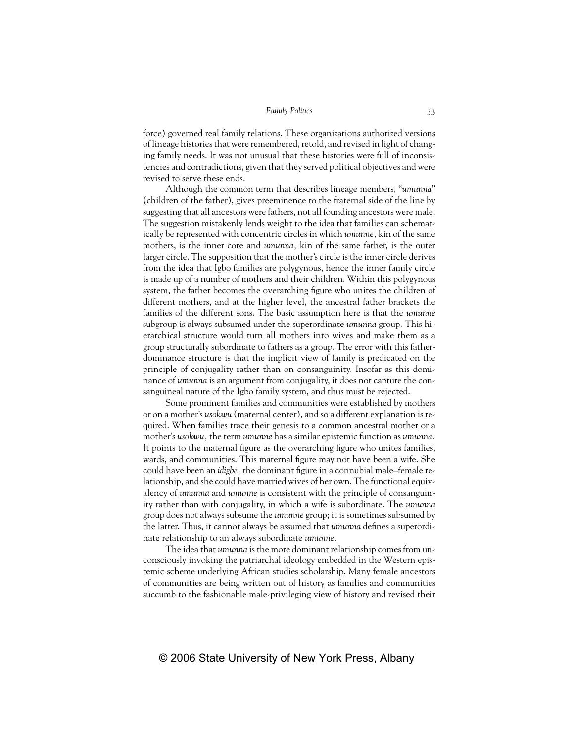force) governed real family relations. These organizations authorized versions of lineage histories that were remembered, retold, and revised in light of changing family needs. It was not unusual that these histories were full of inconsistencies and contradictions, given that they served political objectives and were revised to serve these ends.

Although the common term that describes lineage members, "*umunna*" (children of the father), gives preeminence to the fraternal side of the line by suggesting that all ancestors were fathers, not all founding ancestors were male. The suggestion mistakenly lends weight to the idea that families can schematically be represented with concentric circles in which *umunne,* kin of the same mothers, is the inner core and *umunna,* kin of the same father, is the outer larger circle. The supposition that the mother's circle is the inner circle derives from the idea that Igbo families are polygynous, hence the inner family circle is made up of a number of mothers and their children. Within this polygynous system, the father becomes the overarching figure who unites the children of different mothers, and at the higher level, the ancestral father brackets the families of the different sons. The basic assumption here is that the *umunne* subgroup is always subsumed under the superordinate *umunna* group. This hierarchical structure would turn all mothers into wives and make them as a group structurally subordinate to fathers as a group. The error with this fatherdominance structure is that the implicit view of family is predicated on the principle of conjugality rather than on consanguinity. Insofar as this dominance of *umunna* is an argument from conjugality, it does not capture the consanguineal nature of the Igbo family system, and thus must be rejected.

Some prominent families and communities were established by mothers or on a mother's *usokwu* (maternal center), and so a different explanation is required. When families trace their genesis to a common ancestral mother or a mother's *usokwu,* the term *umunne* has a similar epistemic function as *umunna.* It points to the maternal figure as the overarching figure who unites families, wards, and communities. This maternal figure may not have been a wife. She could have been an *idigbe,* the dominant figure in a connubial male–female relationship, and she could have married wives of her own. The functional equivalency of *umunna* and *umunne* is consistent with the principle of consanguinity rather than with conjugality, in which a wife is subordinate. The *umunna* group does not always subsume the *umunne* group; it is sometimes subsumed by the latter. Thus, it cannot always be assumed that *umunna* defines a superordinate relationship to an always subordinate *umunne.*

The idea that *umunna* is the more dominant relationship comes from unconsciously invoking the patriarchal ideology embedded in the Western epistemic scheme underlying African studies scholarship. Many female ancestors of communities are being written out of history as families and communities succumb to the fashionable male-privileging view of history and revised their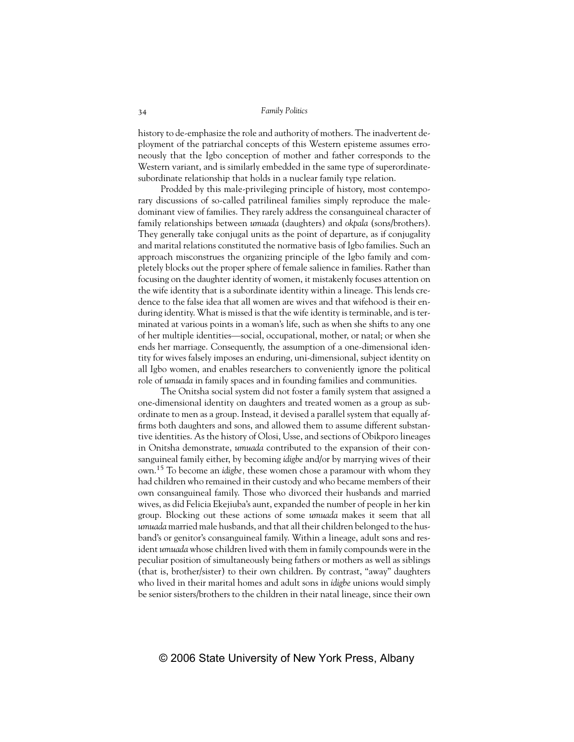history to de-emphasize the role and authority of mothers. The inadvertent deployment of the patriarchal concepts of this Western episteme assumes erroneously that the Igbo conception of mother and father corresponds to the Western variant, and is similarly embedded in the same type of superordinatesubordinate relationship that holds in a nuclear family type relation.

Prodded by this male-privileging principle of history, most contemporary discussions of so-called patrilineal families simply reproduce the maledominant view of families. They rarely address the consanguineal character of family relationships between *umuada* (daughters) and *okpala* (sons/brothers). They generally take conjugal units as the point of departure, as if conjugality and marital relations constituted the normative basis of Igbo families. Such an approach misconstrues the organizing principle of the Igbo family and completely blocks out the proper sphere of female salience in families. Rather than focusing on the daughter identity of women, it mistakenly focuses attention on the wife identity that is a subordinate identity within a lineage. This lends credence to the false idea that all women are wives and that wifehood is their enduring identity. What is missed is that the wife identity is terminable, and is terminated at various points in a woman's life, such as when she shifts to any one of her multiple identities—social, occupational, mother, or natal; or when she ends her marriage. Consequently, the assumption of a one-dimensional identity for wives falsely imposes an enduring, uni-dimensional, subject identity on all Igbo women, and enables researchers to conveniently ignore the political role of *umuada* in family spaces and in founding families and communities.

The Onitsha social system did not foster a family system that assigned a one-dimensional identity on daughters and treated women as a group as subordinate to men as a group. Instead, it devised a parallel system that equally affirms both daughters and sons, and allowed them to assume different substantive identities. As the history of Olosi, Usse, and sections of Obikporo lineages in Onitsha demonstrate, *umuada* contributed to the expansion of their consanguineal family either, by becoming *idigbe* and/or by marrying wives of their own.15 To become an *idigbe,* these women chose a paramour with whom they had children who remained in their custody and who became members of their own consanguineal family. Those who divorced their husbands and married wives, as did Felicia Ekejiuba's aunt, expanded the number of people in her kin group. Blocking out these actions of some *umuada* makes it seem that all *umuada* married male husbands, and that all their children belonged to the husband's or genitor's consanguineal family. Within a lineage, adult sons and resident *umuada* whose children lived with them in family compounds were in the peculiar position of simultaneously being fathers or mothers as well as siblings (that is, brother/sister) to their own children. By contrast, "away" daughters who lived in their marital homes and adult sons in *idigbe* unions would simply be senior sisters/brothers to the children in their natal lineage, since their own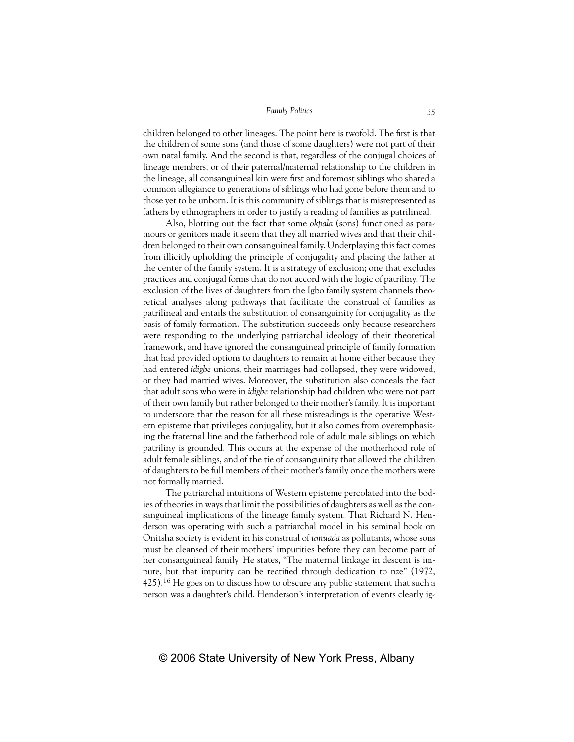children belonged to other lineages. The point here is twofold. The first is that the children of some sons (and those of some daughters) were not part of their own natal family. And the second is that, regardless of the conjugal choices of lineage members, or of their paternal/maternal relationship to the children in the lineage, all consanguineal kin were first and foremost siblings who shared a common allegiance to generations of siblings who had gone before them and to those yet to be unborn. It is this community of siblings that is misrepresented as fathers by ethnographers in order to justify a reading of families as patrilineal.

Also, blotting out the fact that some *okpala* (sons) functioned as paramours or genitors made it seem that they all married wives and that their children belonged to their own consanguineal family. Underplaying this fact comes from illicitly upholding the principle of conjugality and placing the father at the center of the family system. It is a strategy of exclusion; one that excludes practices and conjugal forms that do not accord with the logic of patriliny. The exclusion of the lives of daughters from the Igbo family system channels theoretical analyses along pathways that facilitate the construal of families as patrilineal and entails the substitution of consanguinity for conjugality as the basis of family formation. The substitution succeeds only because researchers were responding to the underlying patriarchal ideology of their theoretical framework, and have ignored the consanguineal principle of family formation that had provided options to daughters to remain at home either because they had entered *idigbe* unions, their marriages had collapsed, they were widowed, or they had married wives. Moreover, the substitution also conceals the fact that adult sons who were in *idigbe* relationship had children who were not part of their own family but rather belonged to their mother's family. It is important to underscore that the reason for all these misreadings is the operative Western episteme that privileges conjugality, but it also comes from overemphasizing the fraternal line and the fatherhood role of adult male siblings on which patriliny is grounded. This occurs at the expense of the motherhood role of adult female siblings, and of the tie of consanguinity that allowed the children of daughters to be full members of their mother's family once the mothers were not formally married.

The patriarchal intuitions of Western episteme percolated into the bodies of theories in ways that limit the possibilities of daughters as well as the consanguineal implications of the lineage family system. That Richard N. Henderson was operating with such a patriarchal model in his seminal book on Onitsha society is evident in his construal of *umuada* as pollutants, whose sons must be cleansed of their mothers' impurities before they can become part of her consanguineal family. He states, "The maternal linkage in descent is impure, but that impurity can be rectified through dedication to nze" (1972, 425).16 He goes on to discuss how to obscure any public statement that such a person was a daughter's child. Henderson's interpretation of events clearly ig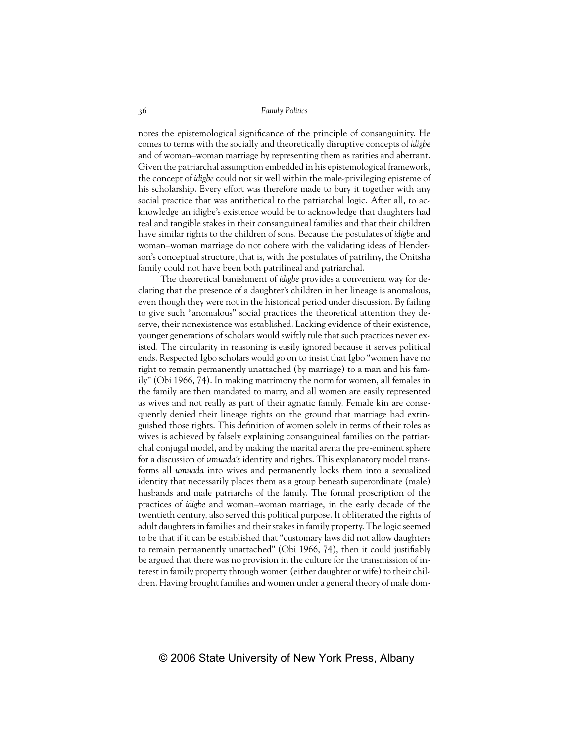nores the epistemological significance of the principle of consanguinity. He comes to terms with the socially and theoretically disruptive concepts of *idigbe* and of woman–woman marriage by representing them as rarities and aberrant. Given the patriarchal assumption embedded in his epistemological framework, the concept of *idigbe* could not sit well within the male-privileging episteme of his scholarship. Every effort was therefore made to bury it together with any social practice that was antithetical to the patriarchal logic. After all, to acknowledge an idigbe's existence would be to acknowledge that daughters had real and tangible stakes in their consanguineal families and that their children have similar rights to the children of sons. Because the postulates of *idigbe* and woman–woman marriage do not cohere with the validating ideas of Henderson's conceptual structure, that is, with the postulates of patriliny, the Onitsha family could not have been both patrilineal and patriarchal.

The theoretical banishment of *idigbe* provides a convenient way for declaring that the presence of a daughter's children in her lineage is anomalous, even though they were not in the historical period under discussion. By failing to give such "anomalous" social practices the theoretical attention they deserve, their nonexistence was established. Lacking evidence of their existence, younger generations of scholars would swiftly rule that such practices never existed. The circularity in reasoning is easily ignored because it serves political ends. Respected Igbo scholars would go on to insist that Igbo "women have no right to remain permanently unattached (by marriage) to a man and his family" (Obi 1966, 74). In making matrimony the norm for women, all females in the family are then mandated to marry, and all women are easily represented as wives and not really as part of their agnatic family. Female kin are consequently denied their lineage rights on the ground that marriage had extinguished those rights. This definition of women solely in terms of their roles as wives is achieved by falsely explaining consanguineal families on the patriarchal conjugal model, and by making the marital arena the pre-eminent sphere for a discussion of *umuada's* identity and rights. This explanatory model transforms all *umuada* into wives and permanently locks them into a sexualized identity that necessarily places them as a group beneath superordinate (male) husbands and male patriarchs of the family. The formal proscription of the practices of *idigbe* and woman–woman marriage, in the early decade of the twentieth century, also served this political purpose. It obliterated the rights of adult daughters in families and their stakes in family property. The logic seemed to be that if it can be established that "customary laws did not allow daughters to remain permanently unattached" (Obi 1966, 74), then it could justifiably be argued that there was no provision in the culture for the transmission of interest in family property through women (either daughter or wife) to their children. Having brought families and women under a general theory of male dom-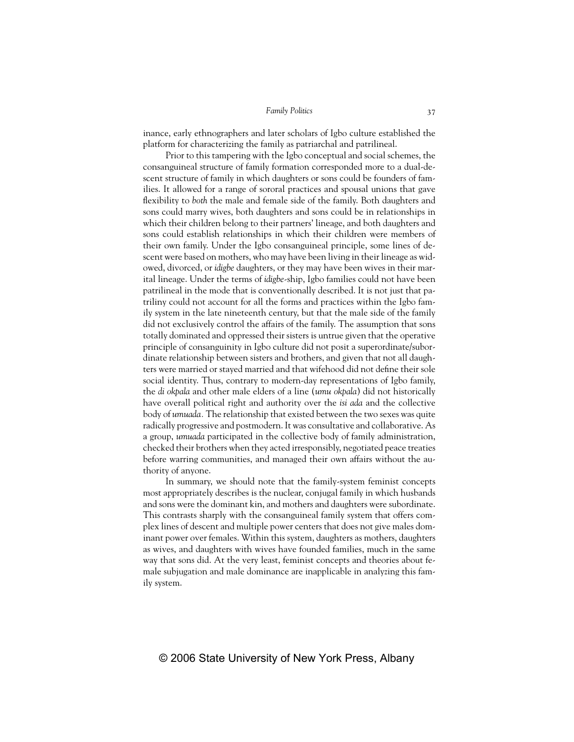inance, early ethnographers and later scholars of Igbo culture established the platform for characterizing the family as patriarchal and patrilineal.

Prior to this tampering with the Igbo conceptual and social schemes, the consanguineal structure of family formation corresponded more to a dual-descent structure of family in which daughters or sons could be founders of families. It allowed for a range of sororal practices and spousal unions that gave flexibility to *both* the male and female side of the family. Both daughters and sons could marry wives, both daughters and sons could be in relationships in which their children belong to their partners' lineage, and both daughters and sons could establish relationships in which their children were members of their own family. Under the Igbo consanguineal principle, some lines of descent were based on mothers, who may have been living in their lineage as widowed, divorced, or *idigbe* daughters, or they may have been wives in their marital lineage. Under the terms of *idigbe*-ship, Igbo families could not have been patrilineal in the mode that is conventionally described. It is not just that patriliny could not account for all the forms and practices within the Igbo family system in the late nineteenth century, but that the male side of the family did not exclusively control the affairs of the family. The assumption that sons totally dominated and oppressed their sisters is untrue given that the operative principle of consanguinity in Igbo culture did not posit a superordinate/subordinate relationship between sisters and brothers, and given that not all daughters were married or stayed married and that wifehood did not define their sole social identity. Thus, contrary to modern-day representations of Igbo family, the *di okpala* and other male elders of a line (*umu okpala*) did not historically have overall political right and authority over the *isi ada* and the collective body of *umuada.* The relationship that existed between the two sexes was quite radically progressive and postmodern. It was consultative and collaborative. As a group, *umuada* participated in the collective body of family administration, checked their brothers when they acted irresponsibly, negotiated peace treaties before warring communities, and managed their own affairs without the authority of anyone.

In summary, we should note that the family-system feminist concepts most appropriately describes is the nuclear, conjugal family in which husbands and sons were the dominant kin, and mothers and daughters were subordinate. This contrasts sharply with the consanguineal family system that offers complex lines of descent and multiple power centers that does not give males dominant power over females. Within this system, daughters as mothers, daughters as wives, and daughters with wives have founded families, much in the same way that sons did. At the very least, feminist concepts and theories about female subjugation and male dominance are inapplicable in analyzing this family system.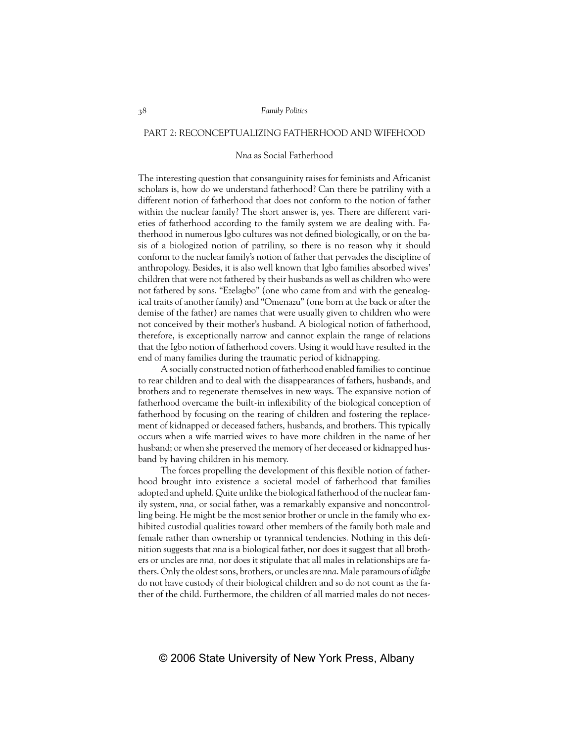# PART 2: RECONCEPTUALIZING FATHERHOOD AND WIFEHOOD

## *Nna* as Social Fatherhood

The interesting question that consanguinity raises for feminists and Africanist scholars is, how do we understand fatherhood? Can there be patriliny with a different notion of fatherhood that does not conform to the notion of father within the nuclear family? The short answer is, yes. There are different varieties of fatherhood according to the family system we are dealing with. Fatherhood in numerous Igbo cultures was not defined biologically, or on the basis of a biologized notion of patriliny, so there is no reason why it should conform to the nuclear family's notion of father that pervades the discipline of anthropology. Besides, it is also well known that Igbo families absorbed wives' children that were not fathered by their husbands as well as children who were not fathered by sons. "Ezelagbo" (one who came from and with the genealogical traits of another family) and "Omenazu" (one born at the back or after the demise of the father) are names that were usually given to children who were not conceived by their mother's husband. A biological notion of fatherhood, therefore, is exceptionally narrow and cannot explain the range of relations that the Igbo notion of fatherhood covers. Using it would have resulted in the end of many families during the traumatic period of kidnapping.

A socially constructed notion of fatherhood enabled families to continue to rear children and to deal with the disappearances of fathers, husbands, and brothers and to regenerate themselves in new ways. The expansive notion of fatherhood overcame the built-in inflexibility of the biological conception of fatherhood by focusing on the rearing of children and fostering the replacement of kidnapped or deceased fathers, husbands, and brothers. This typically occurs when a wife married wives to have more children in the name of her husband; or when she preserved the memory of her deceased or kidnapped husband by having children in his memory.

The forces propelling the development of this flexible notion of fatherhood brought into existence a societal model of fatherhood that families adopted and upheld. Quite unlike the biological fatherhood of the nuclear family system, *nna,* or social father, was a remarkably expansive and noncontrolling being. He might be the most senior brother or uncle in the family who exhibited custodial qualities toward other members of the family both male and female rather than ownership or tyrannical tendencies. Nothing in this definition suggests that *nna* is a biological father, nor does it suggest that all brothers or uncles are *nna,* nor does it stipulate that all males in relationships are fathers. Only the oldest sons, brothers, or uncles are *nna*. Male paramours of *idigbe* do not have custody of their biological children and so do not count as the father of the child. Furthermore, the children of all married males do not neces-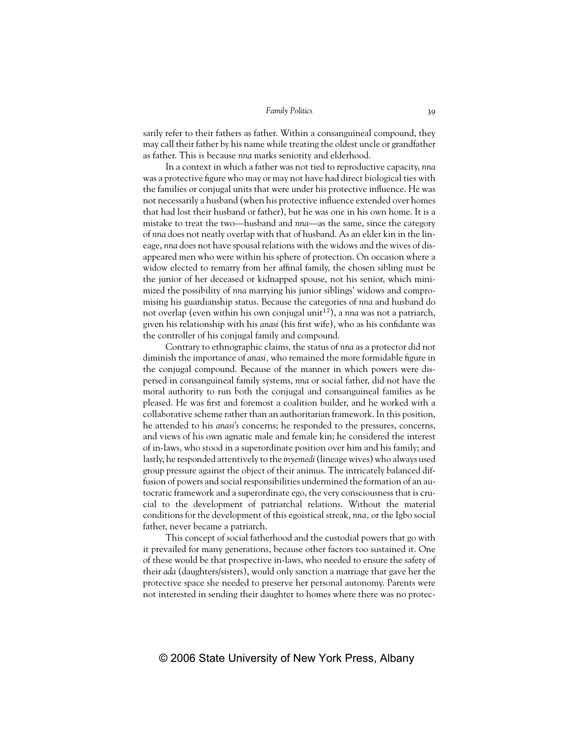sarily refer to their fathers as father. Within a consanguineal compound, they may call their father by his name while treating the oldest uncle or grandfather as father. This is because *nna* marks seniority and elderhood.

In a context in which a father was not tied to reproductive capacity, *nna* was a protective figure who may or may not have had direct biological ties with the families or conjugal units that were under his protective influence. He was not necessarily a husband (when his protective influence extended over homes that had lost their husband or father), but he was one in his own home. It is a mistake to treat the two—husband and *nna*—as the same, since the category of *nna* does not neatly overlap with that of husband. As an elder kin in the lineage, *nna* does not have spousal relations with the widows and the wives of disappeared men who were within his sphere of protection. On occasion where a widow elected to remarry from her affinal family, the chosen sibling must be the junior of her deceased or kidnapped spouse, not his senior, which minimized the possibility of *nna* marrying his junior siblings' widows and compromising his guardianship status. Because the categories of *nna* and husband do not overlap (even within his own conjugal unit<sup>17</sup>), a *nna* was not a patriarch, given his relationship with his *anasi* (his first wife), who as his confidante was the controller of his conjugal family and compound.

Contrary to ethnographic claims, the status of *nna* as a protector did not diminish the importance of *anasi,* who remained the more formidable figure in the conjugal compound. Because of the manner in which powers were dispersed in consanguineal family systems, *nna* or social father, did not have the moral authority to run both the conjugal and consanguineal families as he pleased. He was first and foremost a coalition builder, and he worked with a collaborative scheme rather than an authoritarian framework. In this position, he attended to his *anasi's* concerns; he responded to the pressures, concerns, and views of his own agnatic male and female kin; he considered the interest of in-laws, who stood in a superordinate position over him and his family; and lastly, he responded attentively to the *inyemedi*(lineage wives) who always used group pressure against the object of their animus. The intricately balanced diffusion of powers and social responsibilities undermined the formation of an autocratic framework and a superordinate ego, the very consciousness that is crucial to the development of patriarchal relations. Without the material conditions for the development of this egoistical streak, *nna,* or the Igbo social father, never became a patriarch.

This concept of social fatherhood and the custodial powers that go with it prevailed for many generations, because other factors too sustained it. One of these would be that prospective in-laws, who needed to ensure the safety of their *ada* (daughters/sisters), would only sanction a marriage that gave her the protective space she needed to preserve her personal autonomy. Parents were not interested in sending their daughter to homes where there was no protec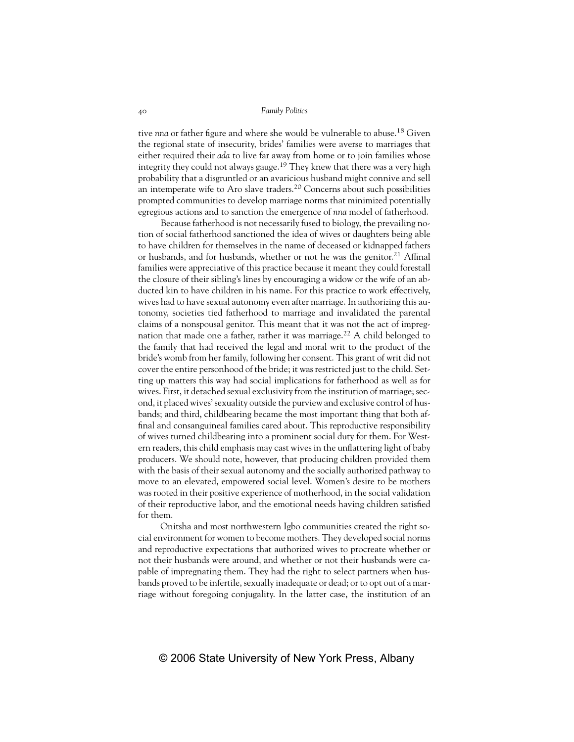tive *nna* or father figure and where she would be vulnerable to abuse.<sup>18</sup> Given the regional state of insecurity, brides' families were averse to marriages that either required their *ada* to live far away from home or to join families whose integrity they could not always gauge.19 They knew that there was a very high probability that a disgruntled or an avaricious husband might connive and sell an intemperate wife to Aro slave traders.20 Concerns about such possibilities prompted communities to develop marriage norms that minimized potentially egregious actions and to sanction the emergence of *nna* model of fatherhood.

Because fatherhood is not necessarily fused to biology, the prevailing notion of social fatherhood sanctioned the idea of wives or daughters being able to have children for themselves in the name of deceased or kidnapped fathers or husbands, and for husbands, whether or not he was the genitor.<sup>21</sup> Affinal families were appreciative of this practice because it meant they could forestall the closure of their sibling's lines by encouraging a widow or the wife of an abducted kin to have children in his name. For this practice to work effectively, wives had to have sexual autonomy even after marriage. In authorizing this autonomy, societies tied fatherhood to marriage and invalidated the parental claims of a nonspousal genitor. This meant that it was not the act of impregnation that made one a father, rather it was marriage.<sup>22</sup> A child belonged to the family that had received the legal and moral writ to the product of the bride's womb from her family, following her consent. This grant of writ did not cover the entire personhood of the bride; it was restricted just to the child. Setting up matters this way had social implications for fatherhood as well as for wives. First, it detached sexual exclusivity from the institution of marriage; second, it placed wives' sexuality outside the purview and exclusive control of husbands; and third, childbearing became the most important thing that both affinal and consanguineal families cared about. This reproductive responsibility of wives turned childbearing into a prominent social duty for them. For Western readers, this child emphasis may cast wives in the unflattering light of baby producers. We should note, however, that producing children provided them with the basis of their sexual autonomy and the socially authorized pathway to move to an elevated, empowered social level. Women's desire to be mothers was rooted in their positive experience of motherhood, in the social validation of their reproductive labor, and the emotional needs having children satisfied for them.

Onitsha and most northwestern Igbo communities created the right social environment for women to become mothers. They developed social norms and reproductive expectations that authorized wives to procreate whether or not their husbands were around, and whether or not their husbands were capable of impregnating them. They had the right to select partners when husbands proved to be infertile, sexually inadequate or dead; or to opt out of a marriage without foregoing conjugality. In the latter case, the institution of an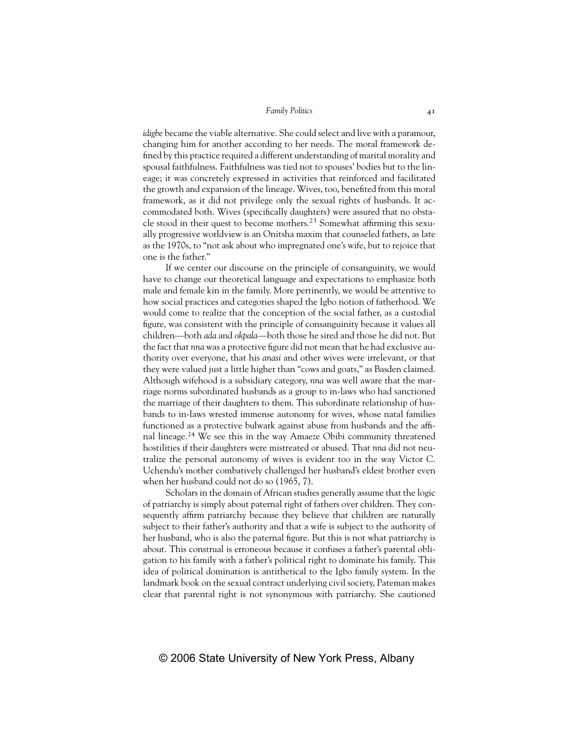*idigbe* became the viable alternative. She could select and live with a paramour, changing him for another according to her needs. The moral framework defined by this practice required a different understanding of marital morality and spousal faithfulness. Faithfulness was tied not to spouses' bodies but to the lineage; it was concretely expressed in activities that reinforced and facilitated the growth and expansion of the lineage. Wives, too, benefited from this moral framework, as it did not privilege only the sexual rights of husbands. It accommodated both. Wives (specifically daughters) were assured that no obstacle stood in their quest to become mothers.23 Somewhat affirming this sexually progressive worldview is an Onitsha maxim that counseled fathers, as late as the 1970s, to "not ask about who impregnated one's wife, but to rejoice that one is the father."

If we center our discourse on the principle of consanguinity, we would have to change our theoretical language and expectations to emphasize both male and female kin in the family. More pertinently, we would be attentive to how social practices and categories shaped the Igbo notion of fatherhood. We would come to realize that the conception of the social father, as a custodial figure, was consistent with the principle of consanguinity because it values all children—both *ada* and *okpala*—both those he sired and those he did not. But the fact that *nna* was a protective figure did not mean that he had exclusive authority over everyone, that his *anasi* and other wives were irrelevant, or that they were valued just a little higher than "cows and goats," as Basden claimed. Although wifehood is a subsidiary category, *nna* was well aware that the marriage norms subordinated husbands as a group to in-laws who had sanctioned the marriage of their daughters to them. This subordinate relationship of husbands to in-laws wrested immense autonomy for wives, whose natal families functioned as a protective bulwark against abuse from husbands and the affinal lineage.<sup>24</sup> We see this in the way Amaeze Obibi community threatened hostilities if their daughters were mistreated or abused. That *nna* did not neutralize the personal autonomy of wives is evident too in the way Victor C. Uchendu's mother combatively challenged her husband's eldest brother even when her husband could not do so (1965, 7).

Scholars in the domain of African studies generally assume that the logic of patriarchy is simply about paternal right of fathers over children. They consequently affirm patriarchy because they believe that children are naturally subject to their father's authority and that a wife is subject to the authority of her husband, who is also the paternal figure. But this is not what patriarchy is about. This construal is erroneous because it confuses a father's parental obligation to his family with a father's political right to dominate his family. This idea of political domination is antithetical to the Igbo family system. In the landmark book on the sexual contract underlying civil society, Pateman makes clear that parental right is not synonymous with patriarchy. She cautioned